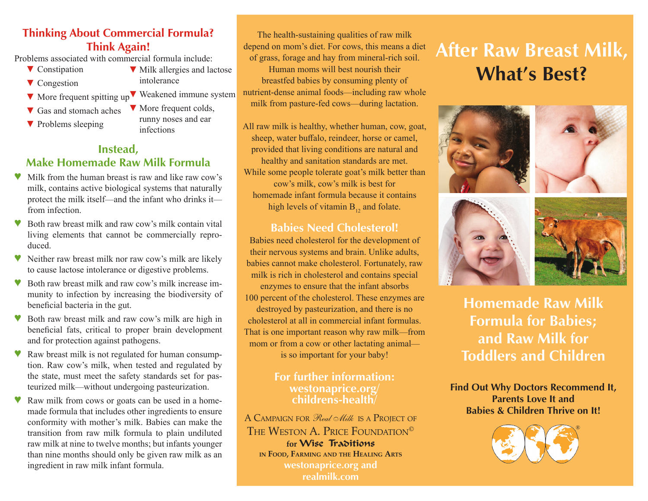## **Thinking About Commercial Formula? Think Again!**

Problems associated with commercial formula include:

- ▼ Constipation
- ▼ Congestion
- ▼ More frequent spitting up ▼ Weakened immune system
- ▼ Gas and stomach aches
- ▼ Problems sleeping
- ▼ More frequent colds, runny noses and ear infections

intolerance

▼ Milk allergies and lactose

### **Instead, Make Homemade Raw Milk Formula**

- Milk from the human breast is raw and like raw cow's milk, contains active biological systems that naturally protect the milk itself—and the infant who drinks it from infection.
- Both raw breast milk and raw cow's milk contain vital living elements that cannot be commercially reproduced.
- ♥ Neither raw breast milk nor raw cow's milk are likely to cause lactose intolerance or digestive problems.
- Both raw breast milk and raw cow's milk increase immunity to infection by increasing the biodiversity of beneficial bacteria in the gut.
- Both raw breast milk and raw cow's milk are high in beneficial fats, critical to proper brain development and for protection against pathogens.
- Raw breast milk is not regulated for human consumption. Raw cow's milk, when tested and regulated by the state, must meet the safety standards set for pasteurized milk—without undergoing pasteurization.
- Raw milk from cows or goats can be used in a homemade formula that includes other ingredients to ensure conformity with mother's milk. Babies can make the transition from raw milk formula to plain undiluted raw milk at nine to twelve months; but infants younger than nine months should only be given raw milk as an ingredient in raw milk infant formula.

The health-sustaining qualities of raw milk depend on mom's diet. For cows, this means a diet of grass, forage and hay from mineral-rich soil. Human moms will best nourish their breastfed babies by consuming plenty of nutrient-dense animal foods—including raw whole milk from pasture-fed cows—during lactation.

All raw milk is healthy, whether human, cow, goat, sheep, water buffalo, reindeer, horse or camel, provided that living conditions are natural and healthy and sanitation standards are met. While some people tolerate goat's milk better than cow's milk, cow's milk is best for homemade infant formula because it contains high levels of vitamin  $B_{12}$  and folate.

### **Babies Need Cholesterol!**

Babies need cholesterol for the development of their nervous systems and brain. Unlike adults, babies cannot make cholesterol. Fortunately, raw milk is rich in cholesterol and contains special enzymes to ensure that the infant absorbs 100 percent of the cholesterol. These enzymes are destroyed by pasteurization, and there is no cholesterol at all in commercial infant formulas. That is one important reason why raw milk—from mom or from a cow or other lactating animal is so important for your baby!

### **For further information: westonaprice.org/ childrens-health/**

A CAMPAIGN FOR Real Alilk IS A PROJECT OF THE WESTON A. PRICE FOUNDATION<sup>©</sup> for **Wise** Traditions **in Food, Farming and the Healing Arts westonaprice.org and realmilk.com**

# **After Raw Breast Milk, What's Best?**







**Homemade Raw Milk Formula for Babies; and Raw Milk for Toddlers and Children**

**Find Out Why Doctors Recommend It, Parents Love It and Babies & Children Thrive on It!**